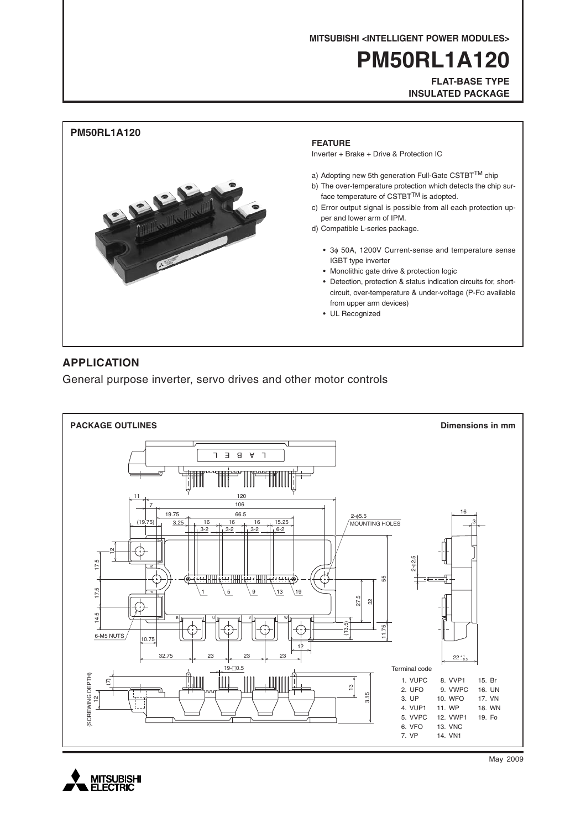**MITSUBISHI <INTELLIGENT POWER MODULES>**

# **PM50RL1A120**

**FLAT-BASE TYPE INSULATED PACKAGE**



# **APPLICATION**

General purpose inverter, servo drives and other motor controls





May 2009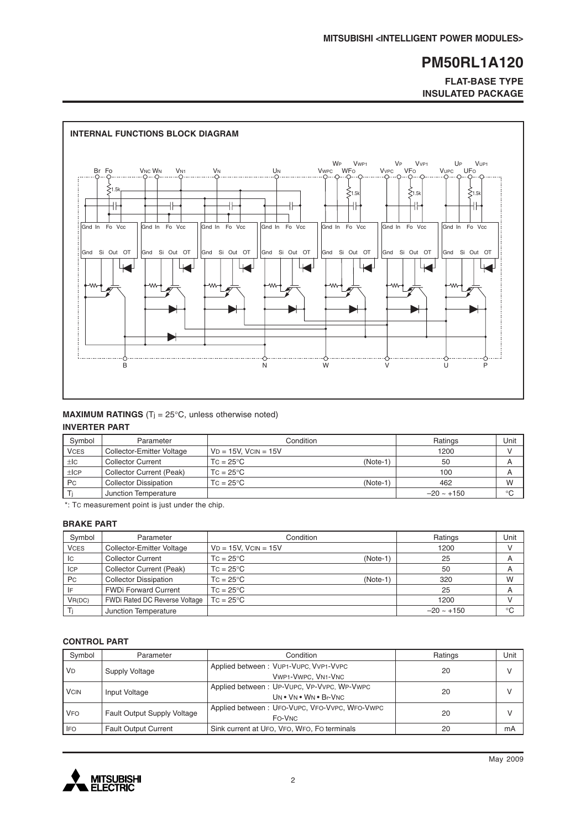**FLAT-BASE TYPE INSULATED PACKAGE**



#### **MAXIMUM RATINGS** (T<sub>j</sub> = 25°C, unless otherwise noted) **INVERTER PART**

| Svmbol      | Parameter                    | Condition                 |            | Ratings         | Unit        |
|-------------|------------------------------|---------------------------|------------|-----------------|-------------|
| <b>VCES</b> | Collector-Emitter Voltage    | $VD = 15V$ . $VCIN = 15V$ |            | 1200            |             |
| ±lc         | <b>Collector Current</b>     | $TC = 25^{\circ}C$        | $(Note-1)$ | 50              | A           |
| ±ICP        | Collector Current (Peak)     | $TC = 25^{\circ}C$        |            | 100             | A           |
| <b>Pc</b>   | <b>Collector Dissipation</b> | $TC = 25^{\circ}C$        | $(Note-1)$ | 462             | W           |
|             | Junction Temperature         |                           |            | $-20 \sim +150$ | $^{\circ}C$ |

\*: TC measurement point is just under the chip.

### **BRAKE PART**

| Symbol      | Parameter                     | Condition                        | Ratings         | Unit        |
|-------------|-------------------------------|----------------------------------|-----------------|-------------|
| <b>VCES</b> | Collector-Emitter Voltage     | $VD = 15V$ , $VCIN = 15V$        | 1200            |             |
| Iс          | <b>Collector Current</b>      | $TC = 25^{\circ}C$<br>$(Note-1)$ | 25              | A           |
| <b>ICP</b>  | Collector Current (Peak)      | $TC = 25^{\circ}C$               | 50              | A           |
| Pc          | <b>Collector Dissipation</b>  | $TC = 25^{\circ}C$<br>$(Note-1)$ | 320             | W           |
|             | <b>FWDi Forward Current</b>   | $TC = 25^{\circ}C$               | 25              | A           |
| VR(DC)      | FWDi Rated DC Reverse Voltage | $TC = 25^{\circ}C$               | 1200            |             |
|             | Junction Temperature          |                                  | $-20 \sim +150$ | $^{\circ}C$ |

### **CONTROL PART**

| Symbol      | Parameter                          | Condition                                                           | Ratings | Unit         |
|-------------|------------------------------------|---------------------------------------------------------------------|---------|--------------|
| <b>VD</b>   | Supply Voltage                     | Applied between: VUP1-VUPC, VVP1-VVPC<br>VWP1-VWPC, VN1-VNC         | 20      | v            |
| <b>VCIN</b> | Input Voltage                      | Applied between: UP-VUPC, VP-VVPC, WP-VWPC<br>UN . VN . WN . Br-VNC | 20      | $\mathsf{V}$ |
| <b>VFO</b>  | <b>Fault Output Supply Voltage</b> | Applied between: UFO-VUPC, VFO-VVPC, WFO-VWPC<br>FO-VNC             | 20      |              |
| <b>IFO</b>  | <b>Fault Output Current</b>        | Sink current at UFO, VFO, WFO, FO terminals                         | 20      | mA           |

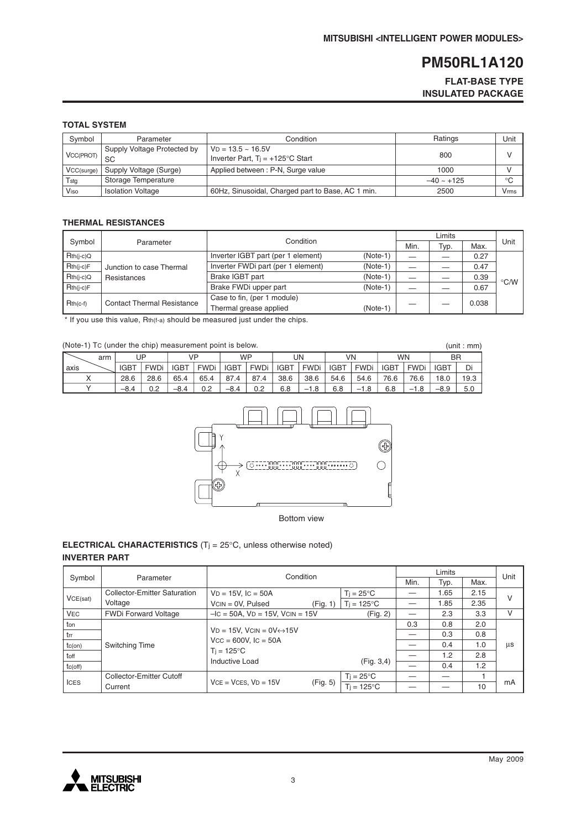# **FLAT-BASE TYPE INSULATED PACKAGE**

# **TOTAL SYSTEM**

| Symbol     | Parameter                         | Condition                                                        | Ratings         | Unit                    |
|------------|-----------------------------------|------------------------------------------------------------------|-----------------|-------------------------|
| VCC(PROT)  | Supply Voltage Protected by<br>SC | $VD = 13.5 - 16.5V$<br>Inverter Part, $Ti = +125^{\circ}C$ Start | 800             |                         |
| VCC(surge) | Supply Voltage (Surge)            | Applied between: P-N, Surge value                                | 1000            |                         |
| Tstg       | Storage Temperature               |                                                                  | $-40 \sim +125$ | $\circ$                 |
| Viso       | <b>Isolation Voltage</b>          | 60Hz, Sinusoidal, Charged part to Base, AC 1 min.                | 2500            | <b>V</b> <sub>rms</sub> |

# **THERMAL RESISTANCES**

|             |                                         | Condition                          |            |      |      |       |                    |
|-------------|-----------------------------------------|------------------------------------|------------|------|------|-------|--------------------|
| Symbol      | Parameter                               |                                    |            | Min. | Typ. | Max.  | Unit               |
| $Rth(i-c)Q$ | Junction to case Thermal<br>Resistances | Inverter IGBT part (per 1 element) | $(Note-1)$ |      |      | 0.27  |                    |
| $Rth(i-c)F$ |                                         | Inverter FWDi part (per 1 element) | $(Note-1)$ |      |      | 0.47  |                    |
| $Rth(i-c)Q$ |                                         | Brake IGBT part                    | $(Note-1)$ |      |      | 0.39  | $\rm ^{\circ}$ C/W |
| $Rth(i-c)F$ |                                         | Brake FWDi upper part              | $(Note-1)$ |      |      | 0.67  |                    |
| $Rth(c-f)$  | <b>Contact Thermal Resistance</b>       | Case to fin, (per 1 module)        |            |      |      |       |                    |
|             |                                         | Thermal grease applied             | $(Note-1)$ |      |      | 0.038 |                    |

\* If you use this value, Rth(f-a) should be measured just under the chips.

# (Note-1) TC (under the chip) measurement point is below.

|      | (Note-1) Tc (under the chip) measurement point is below.<br>(unit : mm) |             |             |             |             |             |             |             |             |             |             |             |             |             |      |
|------|-------------------------------------------------------------------------|-------------|-------------|-------------|-------------|-------------|-------------|-------------|-------------|-------------|-------------|-------------|-------------|-------------|------|
|      | arm                                                                     |             | JΡ          |             | VP          | <b>WP</b>   |             |             | UN          |             | VN          |             | <b>WN</b>   | <b>BR</b>   |      |
| axis |                                                                         | <b>IGBT</b> | <b>FWDi</b> | <b>IGBT</b> | <b>FWDi</b> | <b>IGBT</b> | <b>FWDi</b> | <b>IGBT</b> | <b>FWDi</b> | <b>IGBT</b> | <b>FWDi</b> | <b>IGBT</b> | <b>FWDi</b> | <b>IGBT</b> | Di   |
|      |                                                                         | 28.6        | 28.6        | 65.4        | 65.4        | 87.4        | 87.4        | 38.6        | 38.6        | 54.6        | 54.6        | 76.6        | 76.6        | 18.0        | 19.3 |
|      |                                                                         | $-8.4$      | 0.2         | $-8.4$      | 0.2         | $-8.4$      | 0.2         | 6.8         | $-1.8$      | 6.8         | $-1.8$      | 6.8         | $-1.8$      | $-8.9$      | 5.0  |



Bottom view

### **ELECTRICAL CHARACTERISTICS** (Tj = 25°C, unless otherwise noted) **INVERTER PART**

|              | Condition                    |                                              |          |                      |      | Unit |      |    |
|--------------|------------------------------|----------------------------------------------|----------|----------------------|------|------|------|----|
| Symbol       | Parameter                    |                                              |          |                      | Min. | Typ. | Max. |    |
|              | Collector-Emitter Saturation | $VD = 15V$ , $IC = 50A$                      |          | $T_i = 25^{\circ}C$  |      | 1.65 | 2.15 | V  |
| VCE(sat)     | Voltage                      | $VCN = OV, Pulsed$                           | (Fig. 1) | $T_i = 125^{\circ}C$ |      | 1.85 | 2.35 |    |
| <b>VEC</b>   | <b>FWDi Forward Voltage</b>  | $-IC = 50A$ , $VD = 15V$ , $VCIN = 15V$      |          | (Fig. 2)             |      | 2.3  | 3.3  | v  |
| ton          |                              |                                              |          |                      | 0.3  | 0.8  | 2.0  |    |
| l trr        |                              | $VD = 15V$ , $VCIN = OV \leftrightarrow 15V$ |          |                      |      | 0.3  | 0.8  |    |
| $tc($ on $)$ | Switching Time               | $Vcc = 600V$ , $lc = 50A$                    |          |                      |      | 0.4  | 1.0  | μs |
| toff         |                              | $T_i = 125^{\circ}C$                         |          |                      |      | 1.2  | 2.8  |    |
| tc(off)      |                              | Inductive Load                               |          | (Fig. 3, 4)          |      | 0.4  | 1.2  |    |
| <b>ICES</b>  | Collector-Emitter Cutoff     |                                              |          | $T_i = 25^{\circ}C$  |      |      |      |    |
|              | Current                      | $VCE = VCES, VD = 15V$                       | (Fig. 5) | $T_i = 125^{\circ}C$ |      |      | 10   | mA |

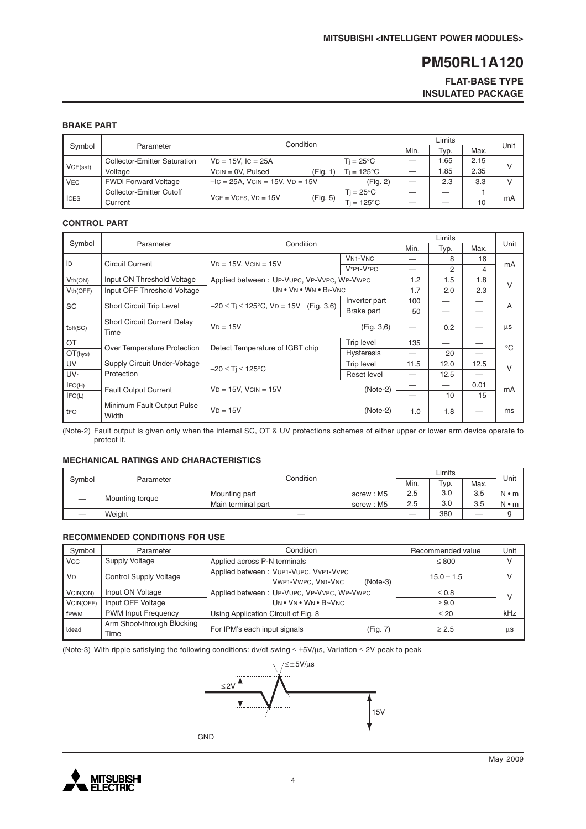### **FLAT-BASE TYPE INSULATED PACKAGE**

### **BRAKE PART**

|            |                                     | Condition                               |                     |      |      |      |    |
|------------|-------------------------------------|-----------------------------------------|---------------------|------|------|------|----|
| Symbol     | Parameter                           |                                         | Min.                | Typ. | Max. | Unit |    |
|            | <b>Collector-Emitter Saturation</b> | $VD = 15V$ , $IC = 25A$                 | $Ti = 25^{\circ}C$  |      | .65  | 2.15 |    |
| VCE(sat)   | Voltage                             | $VCN = 0V$ . Pulsed<br>(Fig. 1          | $Ti = 125^{\circ}C$ |      | 0.85 | 2.35 |    |
| <b>VEC</b> | <b>FWDi Forward Voltage</b>         | $-IC = 25A$ , $VCIN = 15V$ , $VD = 15V$ | (Fig. 2)            |      | 2.3  | 3.3  | v  |
| I ICES     | Collector-Emitter Cutoff            | $VCE = VCES. VD = 15V$                  | Ti = 25°C.          |      |      |      |    |
|            | Current                             | (Fig. 5)                                | $=125^{\circ}C$     |      |      | 10   | mA |

#### **CONTROL PART**

|                                       |                                     |                                                      |                   |      | Unit |      |                |
|---------------------------------------|-------------------------------------|------------------------------------------------------|-------------------|------|------|------|----------------|
| Symbol                                | Parameter                           | Condition                                            |                   | Min. | Typ. | Max. |                |
| ID                                    | <b>Circuit Current</b>              | $VD = 15V$ , $VCIN = 15V$                            | <b>VN1-VNC</b>    |      | 8    | 16   |                |
|                                       |                                     |                                                      | $V^*P1-V^*PC$     |      | 2    | 4    | mA             |
| Vth(ON)                               | Input ON Threshold Voltage          | Applied between: UP-VUPC, VP-VVPC, WP-VWPC           |                   | 1.2  | 1.5  | 1.8  | $\vee$         |
| Vth(OFF)                              | Input OFF Threshold Voltage         | UN . VN . WN . Br-VNC                                |                   | 1.7  | 2.0  | 2.3  |                |
| <b>SC</b><br>Short Circuit Trip Level |                                     | $-20 \le T_i \le 125^{\circ}$ C, VD = 15V (Fig. 3,6) | Inverter part     | 100  |      |      | $\overline{A}$ |
|                                       |                                     |                                                      | Brake part        | 50   |      |      |                |
|                                       | <b>Short Circuit Current Delay</b>  | $VD = 15V$                                           | (Fig. 3, 6)       |      | 0.2  |      | μs             |
| toff(SC)                              | Time                                |                                                      |                   |      |      |      |                |
| OT                                    | Over Temperature Protection         | Detect Temperature of IGBT chip                      | <b>Trip level</b> | 135  |      |      | $^{\circ}C$    |
| OT(hys)                               |                                     |                                                      | <b>Hysteresis</b> |      | 20   |      |                |
| UV                                    | Supply Circuit Under-Voltage        | $-20 \leq Ti \leq 125^{\circ}C$                      | Trip level        | 11.5 | 12.0 | 12.5 | $\vee$         |
| <b>UVr</b>                            | Protection                          |                                                      | Reset level       |      | 12.5 |      |                |
| IFO(H)                                | <b>Fault Output Current</b>         | $VD = 15V$ , $VCIN = 15V$                            | $(Note-2)$        |      |      | 0.01 | mA             |
| IFO(L)                                |                                     |                                                      |                   |      | 10   | 15   |                |
| tFO                                   | Minimum Fault Output Pulse<br>Width | $VD = 15V$                                           | $(Note-2)$        | 1.0  | 1.8  |      | ms             |

(Note-2) Fault output is given only when the internal SC, OT & UV protections schemes of either upper or lower arm device operate to protect it.

#### **MECHANICAL RATINGS AND CHARACTERISTICS**

| Condition<br>Svmbol<br>Parameter |                    |           |     | <sup>Тур.</sup> | Max. | Unit        |
|----------------------------------|--------------------|-----------|-----|-----------------|------|-------------|
| Mounting torque                  | Mounting part      | screw: M5 | 2.5 | 3.0             | 3.5  | $N \cdot m$ |
|                                  | Main terminal part | screw: M5 | 2.5 | 3.0             | 3.5  | $N \cdot m$ |
| Weight                           |                    |           |     | 380             | __   |             |

#### **RECOMMENDED CONDITIONS FOR USE**

| Symbol               | Parameter                          | Condition                                                                 | Recommended value | Unit          |  |
|----------------------|------------------------------------|---------------------------------------------------------------------------|-------------------|---------------|--|
| <b>VCC</b>           | Supply Voltage                     | Applied across P-N terminals                                              | $\leq 800$        | v             |  |
| <b>V<sub>D</sub></b> | <b>Control Supply Voltage</b>      | Applied between: VUP1-VUPC, VVP1-VVPC<br>VWP1-VWPC, VN1-VNC<br>$(Note-3)$ | $15.0 \pm 1.5$    | $\mathcal{U}$ |  |
| VCIN(ON)             | Input ON Voltage                   | Applied between: UP-VUPC, VP-VVPC, WP-VWPC                                | $\leq 0.8$        | $\vee$        |  |
| VCIN(OFF)            | Input OFF Voltage                  | UN . VN . WN . Br-VNC                                                     | $\geq 9.0$        |               |  |
| fPWM                 | <b>PWM Input Frequency</b>         | Using Application Circuit of Fig. 8                                       | $\leq 20$         | kHz           |  |
| tdead                | Arm Shoot-through Blocking<br>Time | For IPM's each input signals<br>(Fig. 7)                                  | > 2.5             | μs            |  |

(Note-3) With ripple satisfying the following conditions: dv/dt swing ≤ ±5V/µs, Variation ≤ 2V peak to peak



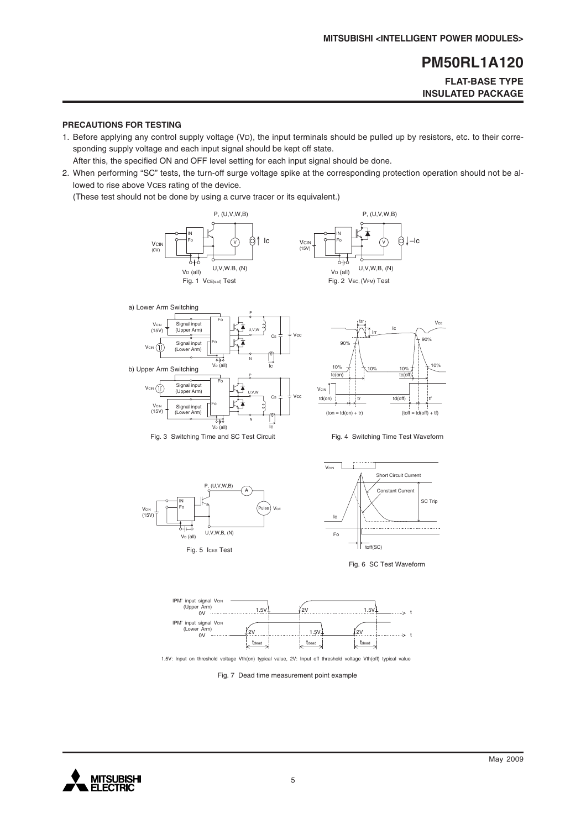# **FLAT-BASE TYPE INSULATED PACKAGE**

#### **PRECAUTIONS FOR TESTING**

1. Before applying any control supply voltage (VD), the input terminals should be pulled up by resistors, etc. to their corresponding supply voltage and each input signal should be kept off state.

After this, the specified ON and OFF level setting for each input signal should be done.

2. When performing "SC" tests, the turn-off surge voltage spike at the corresponding protection operation should not be allowed to rise above VCES rating of the device.

(These test should not be done by using a curve tracer or its equivalent.)















1.5V: Input on threshold voltage Vth(on) typical value, 2V: Input off threshold voltage Vth(off) typical value

Fig. 7 Dead time measurement point example

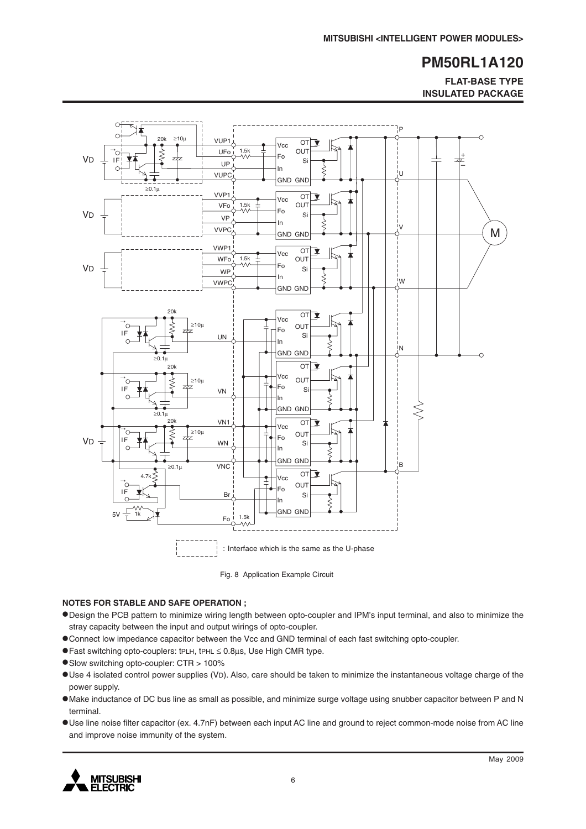**FLAT-BASE TYPE INSULATED PACKAGE**



Fig. 8 Application Example Circuit

#### **NOTES FOR STABLE AND SAFE OPERATION ;**

- •Design the PCB pattern to minimize wiring length between opto-coupler and IPM's input terminal, and also to minimize the stray capacity between the input and output wirings of opto-coupler.
- •Connect low impedance capacitor between the Vcc and GND terminal of each fast switching opto-coupler.
- •Fast switching opto-couplers: tPLH, tPHL <sup>≤</sup> 0.8µs, Use High CMR type.
- •Slow switching opto-coupler: CTR > 100%
- •Use 4 isolated control power supplies (VD). Also, care should be taken to minimize the instantaneous voltage charge of the power supply.
- •Make inductance of DC bus line as small as possible, and minimize surge voltage using snubber capacitor between P and N terminal.
- •Use line noise filter capacitor (ex. 4.7nF) between each input AC line and ground to reject common-mode noise from AC line and improve noise immunity of the system.

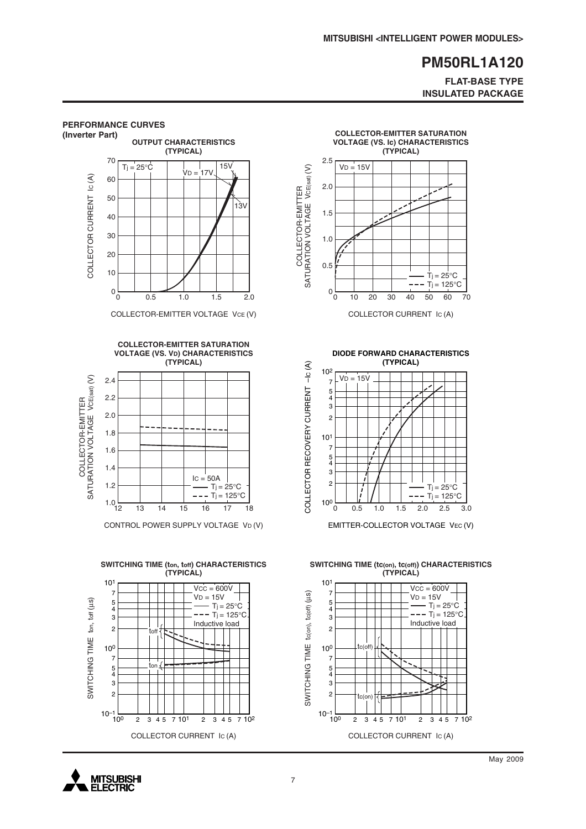### **FLAT-BASE TYPE INSULATED PACKAGE**



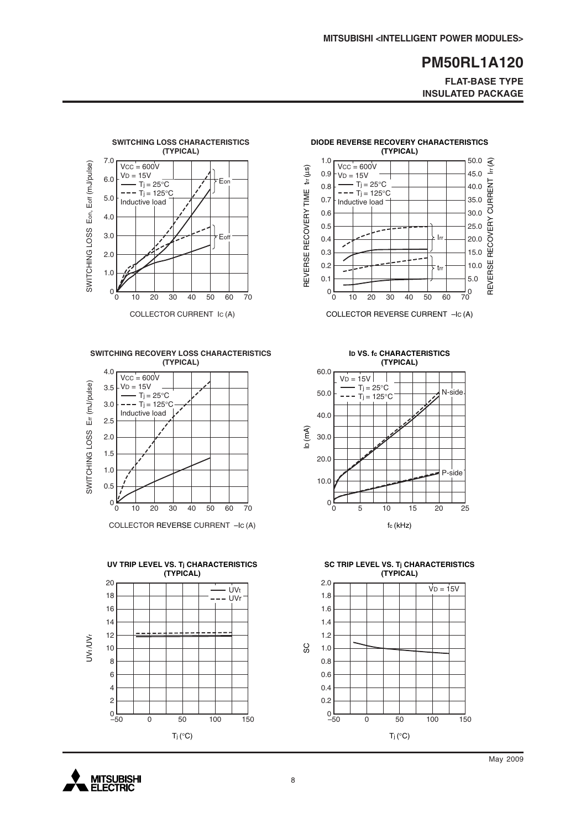**FLAT-BASE TYPE INSULATED PACKAGE**



**SWITCHING RECOVERY LOSS CHARACTERISTICS (TYPICAL)**



COLLECTOR REVERSE CURRENT –IC (A)





COLLECTOR REVERSE CURRENT –IC (A)

**ID VS. fc CHARACTERISTICS (TYPICAL)**



**SC TRIP LEVEL VS. Tj CHARACTERISTICS (TYPICAL)**